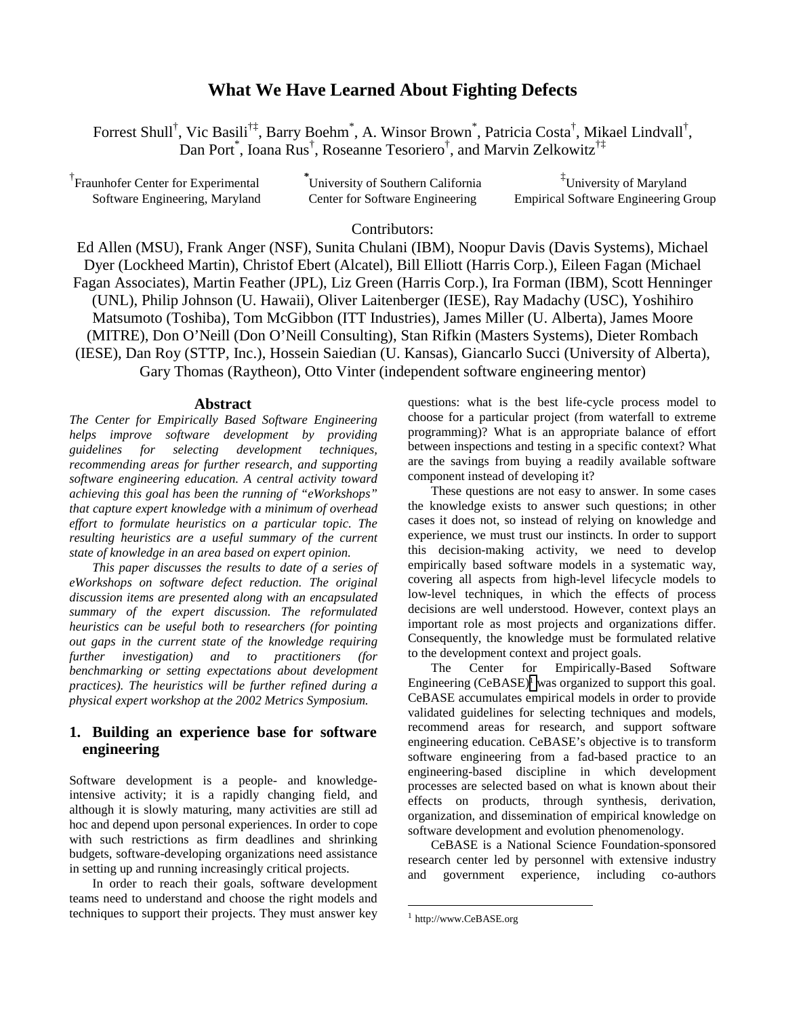# **What We Have Learned About Fighting Defects**

Forrest Shull<sup>†</sup>, Vic Basili<sup>†‡</sup>, Barry Boehm<sup>\*</sup>, A. Winsor Brown<sup>\*</sup>, Patricia Costa<sup>†</sup>, Mikael Lindvall<sup>†</sup>, Dan Port<sup>\*</sup>, Ioana Rus<sup>†</sup>, Roseanne Tesoriero<sup>†</sup>, and Marvin Zelkowitz<sup>†‡</sup>

† Fraunhofer Center for Experimental *\**

University of Southern California ‡

<sup>‡</sup>University of Maryland Software Engineering, Maryland Center for Software Engineering Empirical Software Engineering Group

Contributors:

Ed Allen (MSU), Frank Anger (NSF), Sunita Chulani (IBM), Noopur Davis (Davis Systems), Michael Dyer (Lockheed Martin), Christof Ebert (Alcatel), Bill Elliott (Harris Corp.), Eileen Fagan (Michael Fagan Associates), Martin Feather (JPL), Liz Green (Harris Corp.), Ira Forman (IBM), Scott Henninger (UNL), Philip Johnson (U. Hawaii), Oliver Laitenberger (IESE), Ray Madachy (USC), Yoshihiro Matsumoto (Toshiba), Tom McGibbon (ITT Industries), James Miller (U. Alberta), James Moore (MITRE), Don O'Neill (Don O'Neill Consulting), Stan Rifkin (Masters Systems), Dieter Rombach (IESE), Dan Roy (STTP, Inc.), Hossein Saiedian (U. Kansas), Giancarlo Succi (University of Alberta), Gary Thomas (Raytheon), Otto Vinter (independent software engineering mentor)

#### **Abstract**

*The Center for Empirically Based Software Engineering helps improve software development by providing guidelines for selecting development techniques, recommending areas for further research, and supporting software engineering education. A central activity toward achieving this goal has been the running of "eWorkshops" that capture expert knowledge with a minimum of overhead effort to formulate heuristics on a particular topic. The resulting heuristics are a useful summary of the current state of knowledge in an area based on expert opinion.* 

 *This paper discusses the results to date of a series of eWorkshops on software defect reduction. The original discussion items are presented along with an encapsulated summary of the expert discussion. The reformulated heuristics can be useful both to researchers (for pointing out gaps in the current state of the knowledge requiring further investigation) and to practitioners (for benchmarking or setting expectations about development practices). The heuristics will be further refined during a physical expert workshop at the 2002 Metrics Symposium.* 

# **1. Building an experience base for software engineering**

Software development is a people- and knowledgeintensive activity; it is a rapidly changing field, and although it is slowly maturing, many activities are still ad hoc and depend upon personal experiences. In order to cope with such restrictions as firm deadlines and shrinking budgets, software-developing organizations need assistance in setting up and running increasingly critical projects.

 In order to reach their goals, software development teams need to understand and choose the right models and techniques to support their projects. They must answer key

questions: what is the best life-cycle process model to choose for a particular project (from waterfall to extreme programming)? What is an appropriate balance of effort between inspections and testing in a specific context? What are the savings from buying a readily available software component instead of developing it?

These questions are not easy to answer. In some cases the knowledge exists to answer such questions; in other cases it does not, so instead of relying on knowledge and experience, we must trust our instincts. In order to support this decision-making activity, we need to develop empirically based software models in a systematic way, covering all aspects from high-level lifecycle models to low-level techniques, in which the effects of process decisions are well understood. However, context plays an important role as most projects and organizations differ. Consequently, the knowledge must be formulated relative to the development context and project goals.

 The Center for Empirically-Based Software Engineering  $(CeBASE)^1$  was organized to support this goal. CeBASE accumulates empirical models in order to provide validated guidelines for selecting techniques and models, recommend areas for research, and support software engineering education. CeBASE's objective is to transform software engineering from a fad-based practice to an engineering-based discipline in which development processes are selected based on what is known about their effects on products, through synthesis, derivation, organization, and dissemination of empirical knowledge on software development and evolution phenomenology.

 CeBASE is a National Science Foundation-sponsored research center led by personnel with extensive industry and government experience, including co-authors

 $\overline{a}$ 

<sup>1</sup> http://www.CeBASE.org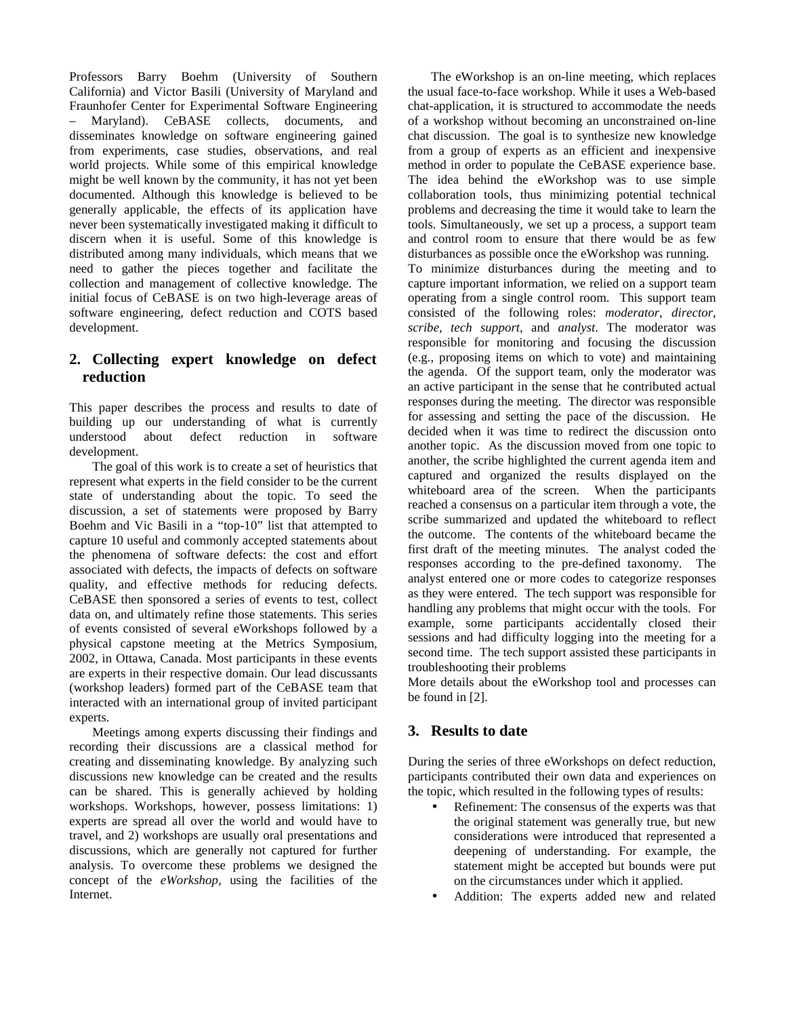Professors Barry Boehm (University of Southern California) and Victor Basili (University of Maryland and Fraunhofer Center for Experimental Software Engineering – Maryland). CeBASE collects, documents, and disseminates knowledge on software engineering gained from experiments, case studies, observations, and real world projects. While some of this empirical knowledge might be well known by the community, it has not yet been documented. Although this knowledge is believed to be generally applicable, the effects of its application have never been systematically investigated making it difficult to discern when it is useful. Some of this knowledge is distributed among many individuals, which means that we need to gather the pieces together and facilitate the collection and management of collective knowledge. The initial focus of CeBASE is on two high-leverage areas of software engineering, defect reduction and COTS based development.

# **2. Collecting expert knowledge on defect reduction**

This paper describes the process and results to date of building up our understanding of what is currently understood about defect reduction in software development.

 The goal of this work is to create a set of heuristics that represent what experts in the field consider to be the current state of understanding about the topic. To seed the discussion, a set of statements were proposed by Barry Boehm and Vic Basili in a "top-10" list that attempted to capture 10 useful and commonly accepted statements about the phenomena of software defects: the cost and effort associated with defects, the impacts of defects on software quality, and effective methods for reducing defects. CeBASE then sponsored a series of events to test, collect data on, and ultimately refine those statements. This series of events consisted of several eWorkshops followed by a physical capstone meeting at the Metrics Symposium, 2002, in Ottawa, Canada. Most participants in these events are experts in their respective domain. Our lead discussants (workshop leaders) formed part of the CeBASE team that interacted with an international group of invited participant experts.

 Meetings among experts discussing their findings and recording their discussions are a classical method for creating and disseminating knowledge. By analyzing such discussions new knowledge can be created and the results can be shared. This is generally achieved by holding workshops. Workshops, however, possess limitations: 1) experts are spread all over the world and would have to travel, and 2) workshops are usually oral presentations and discussions, which are generally not captured for further analysis. To overcome these problems we designed the concept of the *eWorkshop*, using the facilities of the Internet.

 The eWorkshop is an on-line meeting, which replaces the usual face-to-face workshop. While it uses a Web-based chat-application, it is structured to accommodate the needs of a workshop without becoming an unconstrained on-line chat discussion. The goal is to synthesize new knowledge from a group of experts as an efficient and inexpensive method in order to populate the CeBASE experience base. The idea behind the eWorkshop was to use simple collaboration tools, thus minimizing potential technical problems and decreasing the time it would take to learn the tools. Simultaneously, we set up a process, a support team and control room to ensure that there would be as few disturbances as possible once the eWorkshop was running. To minimize disturbances during the meeting and to capture important information, we relied on a support team operating from a single control room. This support team consisted of the following roles: *moderator*, *director*, *scribe*, *tech support*, and *analyst*. The moderator was responsible for monitoring and focusing the discussion (e.g., proposing items on which to vote) and maintaining the agenda. Of the support team, only the moderator was an active participant in the sense that he contributed actual responses during the meeting. The director was responsible for assessing and setting the pace of the discussion. He decided when it was time to redirect the discussion onto another topic. As the discussion moved from one topic to another, the scribe highlighted the current agenda item and captured and organized the results displayed on the whiteboard area of the screen. When the participants reached a consensus on a particular item through a vote, the scribe summarized and updated the whiteboard to reflect the outcome. The contents of the whiteboard became the first draft of the meeting minutes. The analyst coded the responses according to the pre-defined taxonomy. The analyst entered one or more codes to categorize responses as they were entered. The tech support was responsible for handling any problems that might occur with the tools. For example, some participants accidentally closed their sessions and had difficulty logging into the meeting for a second time. The tech support assisted these participants in troubleshooting their problems

More details about the eWorkshop tool and processes can be found in [2].

# **3. Results to date**

During the series of three eWorkshops on defect reduction, participants contributed their own data and experiences on the topic, which resulted in the following types of results:

- Refinement: The consensus of the experts was that the original statement was generally true, but new considerations were introduced that represented a deepening of understanding. For example, the statement might be accepted but bounds were put on the circumstances under which it applied.
- Addition: The experts added new and related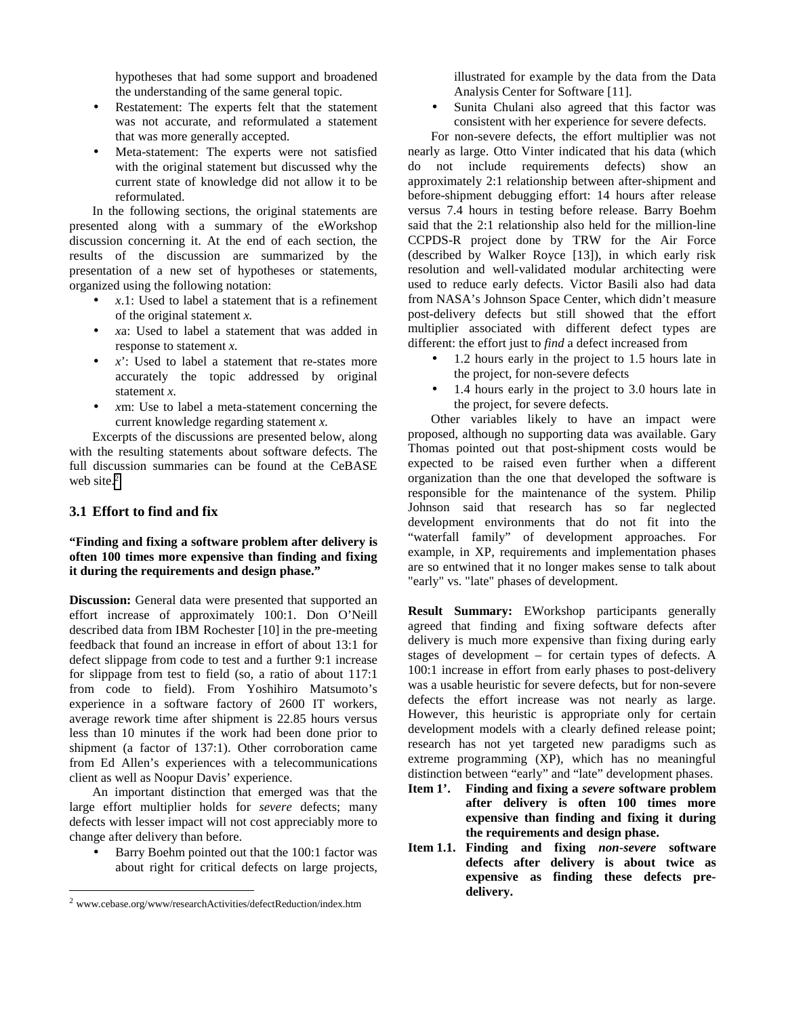hypotheses that had some support and broadened the understanding of the same general topic.

- Restatement: The experts felt that the statement was not accurate, and reformulated a statement that was more generally accepted.
- Meta-statement: The experts were not satisfied with the original statement but discussed why the current state of knowledge did not allow it to be reformulated.

 In the following sections, the original statements are presented along with a summary of the eWorkshop discussion concerning it. At the end of each section, the results of the discussion are summarized by the presentation of a new set of hypotheses or statements, organized using the following notation:

- *x*.1: Used to label a statement that is a refinement of the original statement *x.*
- *x*a: Used to label a statement that was added in response to statement *x.*
- x': Used to label a statement that re-states more accurately the topic addressed by original statement *x.*
- *x*m: Use to label a meta-statement concerning the current knowledge regarding statement *x.*

 Excerpts of the discussions are presented below, along with the resulting statements about software defects. The full discussion summaries can be found at the CeBASE web site.<sup>2</sup>

## **3.1 Effort to find and fix**

-

## **"Finding and fixing a software problem after delivery is often 100 times more expensive than finding and fixing it during the requirements and design phase."**

**Discussion:** General data were presented that supported an effort increase of approximately 100:1. Don O'Neill described data from IBM Rochester [10] in the pre-meeting feedback that found an increase in effort of about 13:1 for defect slippage from code to test and a further 9:1 increase for slippage from test to field (so, a ratio of about 117:1 from code to field). From Yoshihiro Matsumoto's experience in a software factory of 2600 IT workers, average rework time after shipment is 22.85 hours versus less than 10 minutes if the work had been done prior to shipment (a factor of 137:1). Other corroboration came from Ed Allen's experiences with a telecommunications client as well as Noopur Davis' experience.

 An important distinction that emerged was that the large effort multiplier holds for *severe* defects; many defects with lesser impact will not cost appreciably more to change after delivery than before.

Barry Boehm pointed out that the 100:1 factor was about right for critical defects on large projects, illustrated for example by the data from the Data Analysis Center for Software [11].

Sunita Chulani also agreed that this factor was consistent with her experience for severe defects.

 For non-severe defects, the effort multiplier was not nearly as large. Otto Vinter indicated that his data (which do not include requirements defects) show an approximately 2:1 relationship between after-shipment and before-shipment debugging effort: 14 hours after release versus 7.4 hours in testing before release. Barry Boehm said that the 2:1 relationship also held for the million-line CCPDS-R project done by TRW for the Air Force (described by Walker Royce [13]), in which early risk resolution and well-validated modular architecting were used to reduce early defects. Victor Basili also had data from NASA's Johnson Space Center, which didn't measure post-delivery defects but still showed that the effort multiplier associated with different defect types are different: the effort just to *find* a defect increased from

- 1.2 hours early in the project to 1.5 hours late in the project, for non-severe defects
- 1.4 hours early in the project to 3.0 hours late in the project, for severe defects.

 Other variables likely to have an impact were proposed, although no supporting data was available. Gary Thomas pointed out that post-shipment costs would be expected to be raised even further when a different organization than the one that developed the software is responsible for the maintenance of the system. Philip Johnson said that research has so far neglected development environments that do not fit into the "waterfall family" of development approaches. For example, in XP, requirements and implementation phases are so entwined that it no longer makes sense to talk about "early" vs. "late" phases of development.

**Result Summary:** EWorkshop participants generally agreed that finding and fixing software defects after delivery is much more expensive than fixing during early stages of development – for certain types of defects. A 100:1 increase in effort from early phases to post-delivery was a usable heuristic for severe defects, but for non-severe defects the effort increase was not nearly as large. However, this heuristic is appropriate only for certain development models with a clearly defined release point; research has not yet targeted new paradigms such as extreme programming (XP), which has no meaningful distinction between "early" and "late" development phases.

- **Item 1'. Finding and fixing a** *severe* **software problem after delivery is often 100 times more expensive than finding and fixing it during the requirements and design phase.**
- **Item 1.1. Finding and fixing** *non-severe* **software defects after delivery is about twice as expensive as finding these defects predelivery.**

<sup>2</sup> www.cebase.org/www/researchActivities/defectReduction/index.htm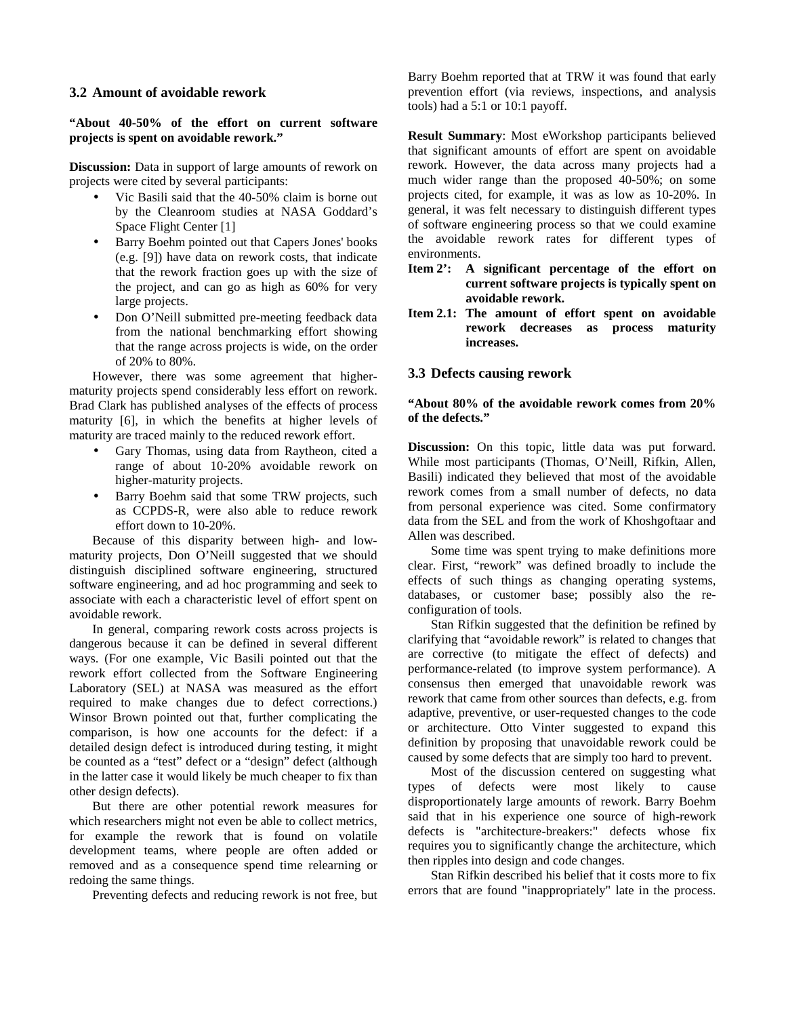## **3.2 Amount of avoidable rework**

## **"About 40-50% of the effort on current software projects is spent on avoidable rework."**

**Discussion:** Data in support of large amounts of rework on projects were cited by several participants:

- Vic Basili said that the 40-50% claim is borne out by the Cleanroom studies at NASA Goddard's Space Flight Center [1]
- Barry Boehm pointed out that Capers Jones' books (e.g. [9]) have data on rework costs, that indicate that the rework fraction goes up with the size of the project, and can go as high as 60% for very large projects.
- Don O'Neill submitted pre-meeting feedback data from the national benchmarking effort showing that the range across projects is wide, on the order of 20% to 80%.

 However, there was some agreement that highermaturity projects spend considerably less effort on rework. Brad Clark has published analyses of the effects of process maturity [6], in which the benefits at higher levels of maturity are traced mainly to the reduced rework effort.

- Gary Thomas, using data from Raytheon, cited a range of about 10-20% avoidable rework on higher-maturity projects.
- Barry Boehm said that some TRW projects, such as CCPDS-R, were also able to reduce rework effort down to 10-20%.

 Because of this disparity between high- and lowmaturity projects, Don O'Neill suggested that we should distinguish disciplined software engineering, structured software engineering, and ad hoc programming and seek to associate with each a characteristic level of effort spent on avoidable rework.

 In general, comparing rework costs across projects is dangerous because it can be defined in several different ways. (For one example, Vic Basili pointed out that the rework effort collected from the Software Engineering Laboratory (SEL) at NASA was measured as the effort required to make changes due to defect corrections.) Winsor Brown pointed out that, further complicating the comparison, is how one accounts for the defect: if a detailed design defect is introduced during testing, it might be counted as a "test" defect or a "design" defect (although in the latter case it would likely be much cheaper to fix than other design defects).

 But there are other potential rework measures for which researchers might not even be able to collect metrics, for example the rework that is found on volatile development teams, where people are often added or removed and as a consequence spend time relearning or redoing the same things.

Preventing defects and reducing rework is not free, but

Barry Boehm reported that at TRW it was found that early prevention effort (via reviews, inspections, and analysis tools) had a 5:1 or 10:1 payoff.

**Result Summary**: Most eWorkshop participants believed that significant amounts of effort are spent on avoidable rework. However, the data across many projects had a much wider range than the proposed 40-50%; on some projects cited, for example, it was as low as 10-20%. In general, it was felt necessary to distinguish different types of software engineering process so that we could examine the avoidable rework rates for different types of environments.

- **Item 2': A significant percentage of the effort on current software projects is typically spent on avoidable rework.**
- **Item 2.1: The amount of effort spent on avoidable rework decreases as process maturity increases.**

## **3.3 Defects causing rework**

## **"About 80% of the avoidable rework comes from 20% of the defects."**

**Discussion:** On this topic, little data was put forward. While most participants (Thomas, O'Neill, Rifkin, Allen, Basili) indicated they believed that most of the avoidable rework comes from a small number of defects, no data from personal experience was cited. Some confirmatory data from the SEL and from the work of Khoshgoftaar and Allen was described.

 Some time was spent trying to make definitions more clear. First, "rework" was defined broadly to include the effects of such things as changing operating systems, databases, or customer base; possibly also the reconfiguration of tools.

 Stan Rifkin suggested that the definition be refined by clarifying that "avoidable rework" is related to changes that are corrective (to mitigate the effect of defects) and performance-related (to improve system performance). A consensus then emerged that unavoidable rework was rework that came from other sources than defects, e.g. from adaptive, preventive, or user-requested changes to the code or architecture. Otto Vinter suggested to expand this definition by proposing that unavoidable rework could be caused by some defects that are simply too hard to prevent.

 Most of the discussion centered on suggesting what types of defects were most likely to cause disproportionately large amounts of rework. Barry Boehm said that in his experience one source of high-rework defects is "architecture-breakers:" defects whose fix requires you to significantly change the architecture, which then ripples into design and code changes.

 Stan Rifkin described his belief that it costs more to fix errors that are found "inappropriately" late in the process.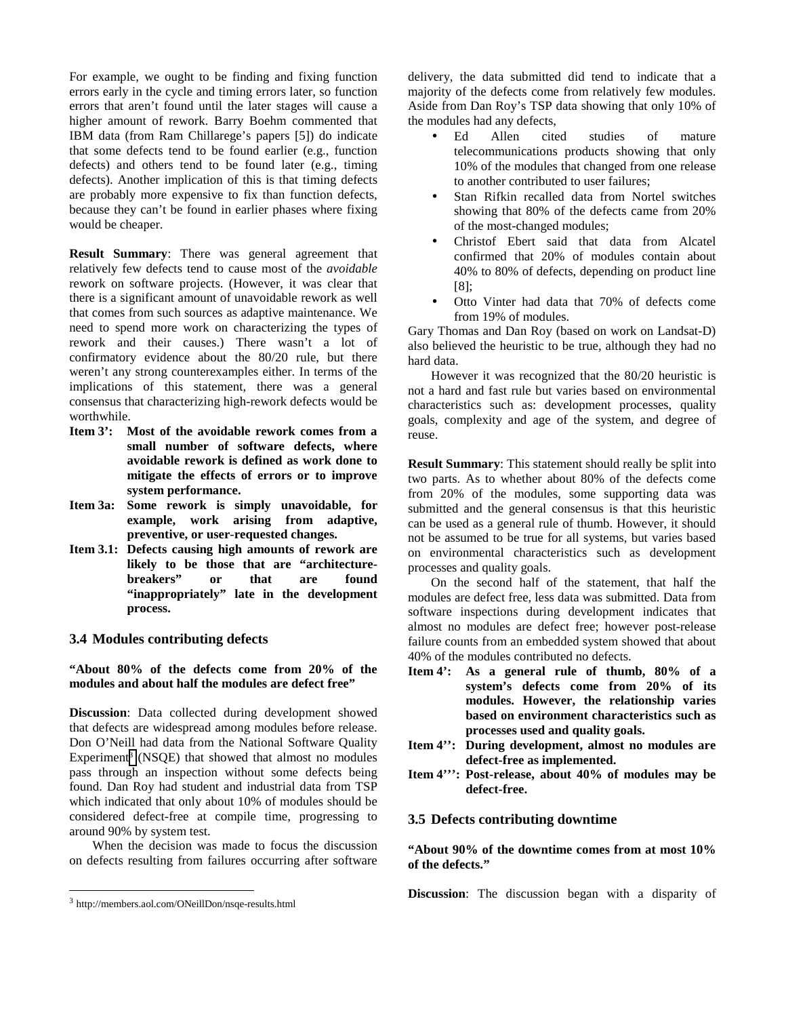For example, we ought to be finding and fixing function errors early in the cycle and timing errors later, so function errors that aren't found until the later stages will cause a higher amount of rework. Barry Boehm commented that IBM data (from Ram Chillarege's papers [5]) do indicate that some defects tend to be found earlier (e.g., function defects) and others tend to be found later (e.g., timing defects). Another implication of this is that timing defects are probably more expensive to fix than function defects, because they can't be found in earlier phases where fixing would be cheaper.

**Result Summary**: There was general agreement that relatively few defects tend to cause most of the *avoidable* rework on software projects. (However, it was clear that there is a significant amount of unavoidable rework as well that comes from such sources as adaptive maintenance. We need to spend more work on characterizing the types of rework and their causes.) There wasn't a lot of confirmatory evidence about the 80/20 rule, but there weren't any strong counterexamples either. In terms of the implications of this statement, there was a general consensus that characterizing high-rework defects would be worthwhile.

- **Item 3': Most of the avoidable rework comes from a small number of software defects, where avoidable rework is defined as work done to mitigate the effects of errors or to improve system performance.**
- **Item 3a: Some rework is simply unavoidable, for example, work arising from adaptive, preventive, or user-requested changes.**
- **Item 3.1: Defects causing high amounts of rework are likely to be those that are "architecturebreakers" or that are found "inappropriately" late in the development process.**

#### **3.4 Modules contributing defects**

**"About 80% of the defects come from 20% of the modules and about half the modules are defect free"** 

**Discussion**: Data collected during development showed that defects are widespread among modules before release. Don O'Neill had data from the National Software Quality Experiment<sup>3</sup> (NSQE) that showed that almost no modules pass through an inspection without some defects being found. Dan Roy had student and industrial data from TSP which indicated that only about 10% of modules should be considered defect-free at compile time, progressing to around 90% by system test.

When the decision was made to focus the discussion on defects resulting from failures occurring after software

-

delivery, the data submitted did tend to indicate that a majority of the defects come from relatively few modules. Aside from Dan Roy's TSP data showing that only 10% of the modules had any defects,

- Ed Allen cited studies of mature telecommunications products showing that only 10% of the modules that changed from one release to another contributed to user failures;
- Stan Rifkin recalled data from Nortel switches showing that 80% of the defects came from 20% of the most-changed modules;
- Christof Ebert said that data from Alcatel confirmed that 20% of modules contain about 40% to 80% of defects, depending on product line [8];
- Otto Vinter had data that 70% of defects come from 19% of modules.

Gary Thomas and Dan Roy (based on work on Landsat-D) also believed the heuristic to be true, although they had no hard data.

 However it was recognized that the 80/20 heuristic is not a hard and fast rule but varies based on environmental characteristics such as: development processes, quality goals, complexity and age of the system, and degree of reuse.

**Result Summary**: This statement should really be split into two parts. As to whether about 80% of the defects come from 20% of the modules, some supporting data was submitted and the general consensus is that this heuristic can be used as a general rule of thumb. However, it should not be assumed to be true for all systems, but varies based on environmental characteristics such as development processes and quality goals.

 On the second half of the statement, that half the modules are defect free, less data was submitted. Data from software inspections during development indicates that almost no modules are defect free; however post-release failure counts from an embedded system showed that about 40% of the modules contributed no defects.

- **Item 4': As a general rule of thumb, 80% of a system's defects come from 20% of its modules. However, the relationship varies based on environment characteristics such as processes used and quality goals.**
- **Item 4'': During development, almost no modules are defect-free as implemented.**
- **Item 4''': Post-release, about 40% of modules may be defect-free.**

## **3.5 Defects contributing downtime**

#### **"About 90% of the downtime comes from at most 10% of the defects."**

**Discussion**: The discussion began with a disparity of

<sup>3</sup> http://members.aol.com/ONeillDon/nsqe-results.html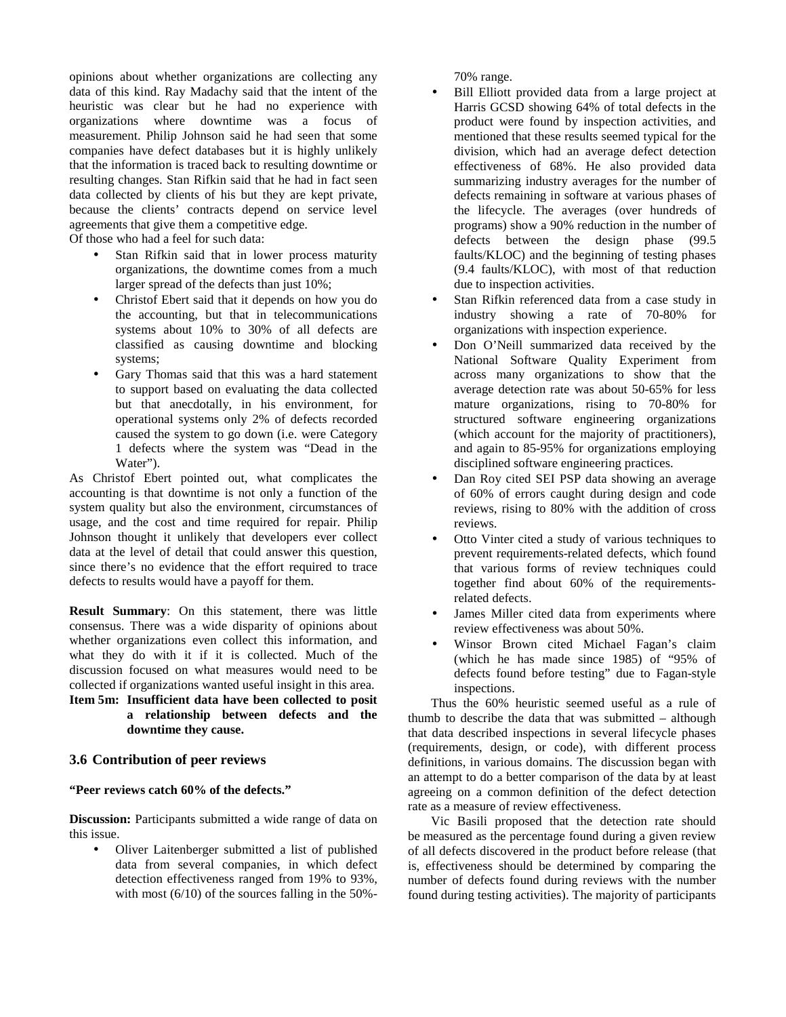opinions about whether organizations are collecting any data of this kind. Ray Madachy said that the intent of the heuristic was clear but he had no experience with organizations where downtime was a focus of measurement. Philip Johnson said he had seen that some companies have defect databases but it is highly unlikely that the information is traced back to resulting downtime or resulting changes. Stan Rifkin said that he had in fact seen data collected by clients of his but they are kept private, because the clients' contracts depend on service level agreements that give them a competitive edge.

Of those who had a feel for such data:

- Stan Rifkin said that in lower process maturity organizations, the downtime comes from a much larger spread of the defects than just 10%;
- Christof Ebert said that it depends on how you do the accounting, but that in telecommunications systems about 10% to 30% of all defects are classified as causing downtime and blocking systems;
- Gary Thomas said that this was a hard statement to support based on evaluating the data collected but that anecdotally, in his environment, for operational systems only 2% of defects recorded caused the system to go down (i.e. were Category 1 defects where the system was "Dead in the Water").

As Christof Ebert pointed out, what complicates the accounting is that downtime is not only a function of the system quality but also the environment, circumstances of usage, and the cost and time required for repair. Philip Johnson thought it unlikely that developers ever collect data at the level of detail that could answer this question, since there's no evidence that the effort required to trace defects to results would have a payoff for them.

**Result Summary**: On this statement, there was little consensus. There was a wide disparity of opinions about whether organizations even collect this information, and what they do with it if it is collected. Much of the discussion focused on what measures would need to be collected if organizations wanted useful insight in this area. **Item 5m: Insufficient data have been collected to posit** 

**a relationship between defects and the downtime they cause.** 

## **3.6 Contribution of peer reviews**

#### **"Peer reviews catch 60% of the defects."**

**Discussion:** Participants submitted a wide range of data on this issue.

• Oliver Laitenberger submitted a list of published data from several companies, in which defect detection effectiveness ranged from 19% to 93%, with most (6/10) of the sources falling in the 50%-

70% range.

- Bill Elliott provided data from a large project at Harris GCSD showing 64% of total defects in the product were found by inspection activities, and mentioned that these results seemed typical for the division, which had an average defect detection effectiveness of 68%. He also provided data summarizing industry averages for the number of defects remaining in software at various phases of the lifecycle. The averages (over hundreds of programs) show a 90% reduction in the number of defects between the design phase (99.5 faults/KLOC) and the beginning of testing phases (9.4 faults/KLOC), with most of that reduction due to inspection activities.
- Stan Rifkin referenced data from a case study in industry showing a rate of 70-80% for organizations with inspection experience.
- Don O'Neill summarized data received by the National Software Quality Experiment from across many organizations to show that the average detection rate was about 50-65% for less mature organizations, rising to 70-80% for structured software engineering organizations (which account for the majority of practitioners), and again to 85-95% for organizations employing disciplined software engineering practices.
- Dan Roy cited SEI PSP data showing an average of 60% of errors caught during design and code reviews, rising to 80% with the addition of cross reviews.
- Otto Vinter cited a study of various techniques to prevent requirements-related defects, which found that various forms of review techniques could together find about 60% of the requirementsrelated defects.
- James Miller cited data from experiments where review effectiveness was about 50%.
- Winsor Brown cited Michael Fagan's claim (which he has made since 1985) of "95% of defects found before testing" due to Fagan-style inspections.

 Thus the 60% heuristic seemed useful as a rule of thumb to describe the data that was submitted – although that data described inspections in several lifecycle phases (requirements, design, or code), with different process definitions, in various domains. The discussion began with an attempt to do a better comparison of the data by at least agreeing on a common definition of the defect detection rate as a measure of review effectiveness.

 Vic Basili proposed that the detection rate should be measured as the percentage found during a given review of all defects discovered in the product before release (that is, effectiveness should be determined by comparing the number of defects found during reviews with the number found during testing activities). The majority of participants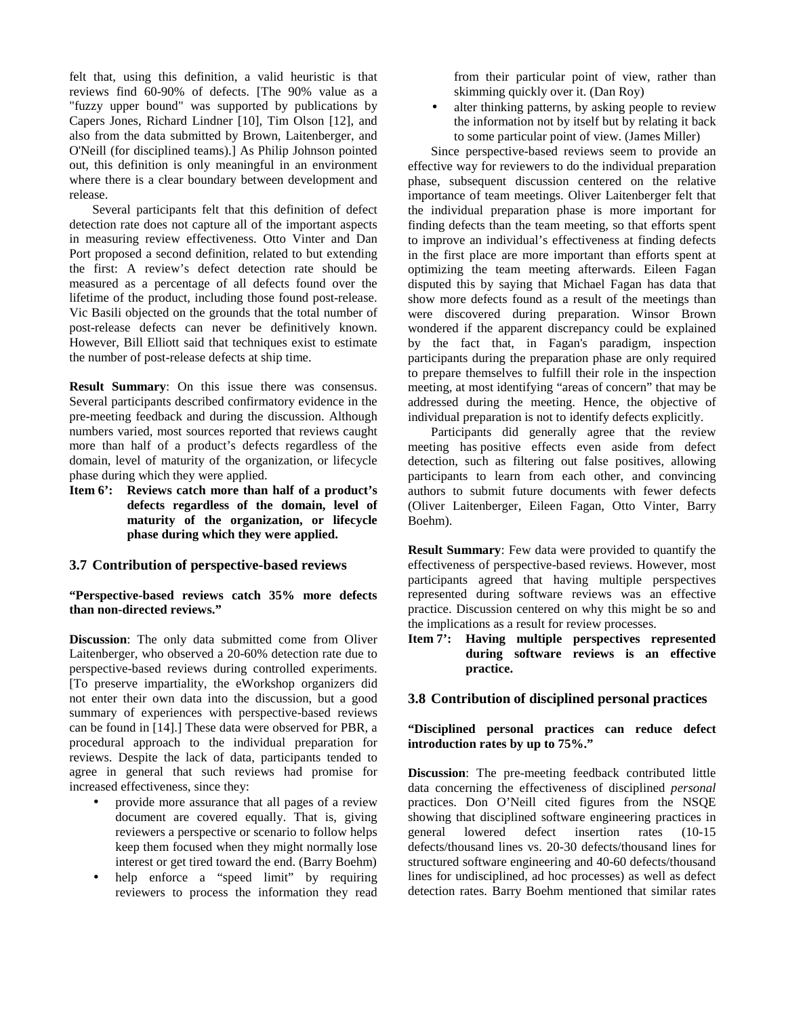felt that, using this definition, a valid heuristic is that reviews find 60-90% of defects. [The 90% value as a "fuzzy upper bound" was supported by publications by Capers Jones, Richard Lindner [10], Tim Olson [12], and also from the data submitted by Brown, Laitenberger, and O'Neill (for disciplined teams).] As Philip Johnson pointed out, this definition is only meaningful in an environment where there is a clear boundary between development and release.

 Several participants felt that this definition of defect detection rate does not capture all of the important aspects in measuring review effectiveness. Otto Vinter and Dan Port proposed a second definition, related to but extending the first: A review's defect detection rate should be measured as a percentage of all defects found over the lifetime of the product, including those found post-release. Vic Basili objected on the grounds that the total number of post-release defects can never be definitively known. However, Bill Elliott said that techniques exist to estimate the number of post-release defects at ship time.

**Result Summary**: On this issue there was consensus. Several participants described confirmatory evidence in the pre-meeting feedback and during the discussion. Although numbers varied, most sources reported that reviews caught more than half of a product's defects regardless of the domain, level of maturity of the organization, or lifecycle phase during which they were applied.

**Item 6': Reviews catch more than half of a product's defects regardless of the domain, level of maturity of the organization, or lifecycle phase during which they were applied.** 

## **3.7 Contribution of perspective-based reviews**

## **"Perspective-based reviews catch 35% more defects than non-directed reviews."**

**Discussion**: The only data submitted come from Oliver Laitenberger, who observed a 20-60% detection rate due to perspective-based reviews during controlled experiments. [To preserve impartiality, the eWorkshop organizers did not enter their own data into the discussion, but a good summary of experiences with perspective-based reviews can be found in [14].] These data were observed for PBR, a procedural approach to the individual preparation for reviews. Despite the lack of data, participants tended to agree in general that such reviews had promise for increased effectiveness, since they:

- provide more assurance that all pages of a review document are covered equally. That is, giving reviewers a perspective or scenario to follow helps keep them focused when they might normally lose interest or get tired toward the end. (Barry Boehm)
- help enforce a "speed limit" by requiring reviewers to process the information they read

from their particular point of view, rather than skimming quickly over it. (Dan Roy)

alter thinking patterns, by asking people to review the information not by itself but by relating it back to some particular point of view. (James Miller)

 Since perspective-based reviews seem to provide an effective way for reviewers to do the individual preparation phase, subsequent discussion centered on the relative importance of team meetings. Oliver Laitenberger felt that the individual preparation phase is more important for finding defects than the team meeting, so that efforts spent to improve an individual's effectiveness at finding defects in the first place are more important than efforts spent at optimizing the team meeting afterwards. Eileen Fagan disputed this by saying that Michael Fagan has data that show more defects found as a result of the meetings than were discovered during preparation. Winsor Brown wondered if the apparent discrepancy could be explained by the fact that, in Fagan's paradigm, inspection participants during the preparation phase are only required to prepare themselves to fulfill their role in the inspection meeting, at most identifying "areas of concern" that may be addressed during the meeting. Hence, the objective of individual preparation is not to identify defects explicitly.

 Participants did generally agree that the review meeting has positive effects even aside from defect detection, such as filtering out false positives, allowing participants to learn from each other, and convincing authors to submit future documents with fewer defects (Oliver Laitenberger, Eileen Fagan, Otto Vinter, Barry Boehm).

**Result Summary**: Few data were provided to quantify the effectiveness of perspective-based reviews. However, most participants agreed that having multiple perspectives represented during software reviews was an effective practice. Discussion centered on why this might be so and the implications as a result for review processes.

## **Item 7': Having multiple perspectives represented during software reviews is an effective practice.**

## **3.8 Contribution of disciplined personal practices**

**"Disciplined personal practices can reduce defect introduction rates by up to 75%."** 

**Discussion**: The pre-meeting feedback contributed little data concerning the effectiveness of disciplined *personal* practices. Don O'Neill cited figures from the NSQE showing that disciplined software engineering practices in general lowered defect insertion rates (10-15 defects/thousand lines vs. 20-30 defects/thousand lines for structured software engineering and 40-60 defects/thousand lines for undisciplined, ad hoc processes) as well as defect detection rates. Barry Boehm mentioned that similar rates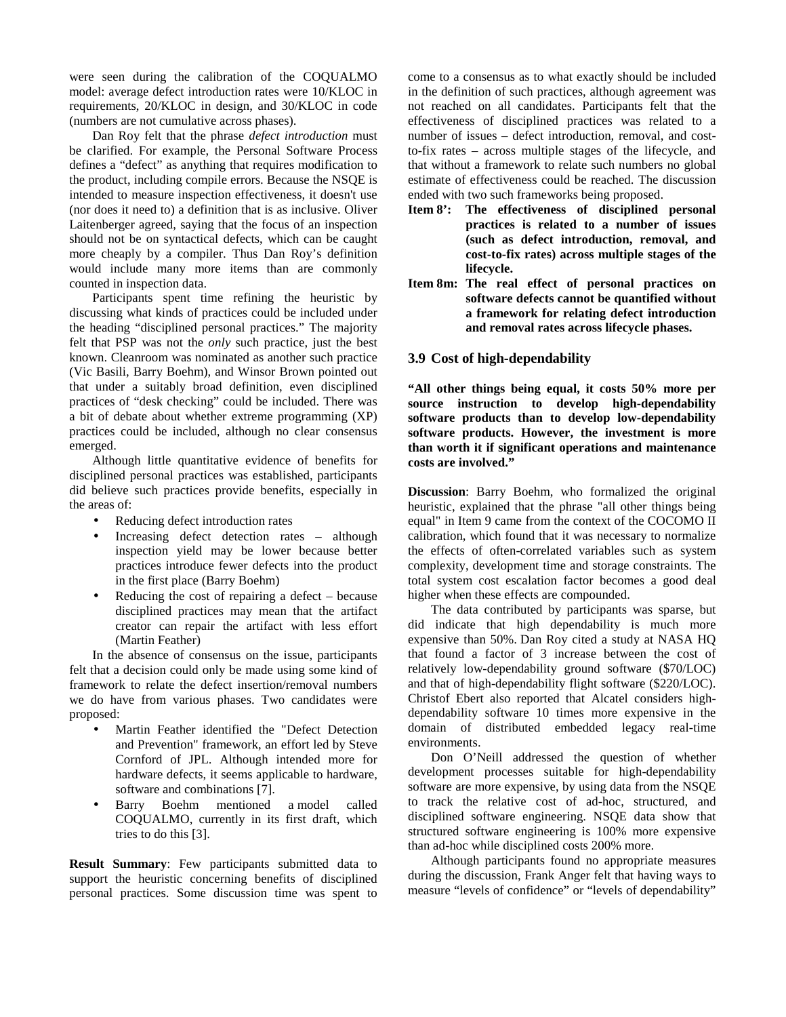were seen during the calibration of the COQUALMO model: average defect introduction rates were 10/KLOC in requirements, 20/KLOC in design, and 30/KLOC in code (numbers are not cumulative across phases).

 Dan Roy felt that the phrase *defect introduction* must be clarified. For example, the Personal Software Process defines a "defect" as anything that requires modification to the product, including compile errors. Because the NSQE is intended to measure inspection effectiveness, it doesn't use (nor does it need to) a definition that is as inclusive. Oliver Laitenberger agreed, saying that the focus of an inspection should not be on syntactical defects, which can be caught more cheaply by a compiler. Thus Dan Roy's definition would include many more items than are commonly counted in inspection data.

 Participants spent time refining the heuristic by discussing what kinds of practices could be included under the heading "disciplined personal practices." The majority felt that PSP was not the *only* such practice, just the best known. Cleanroom was nominated as another such practice (Vic Basili, Barry Boehm), and Winsor Brown pointed out that under a suitably broad definition, even disciplined practices of "desk checking" could be included. There was a bit of debate about whether extreme programming (XP) practices could be included, although no clear consensus emerged.

 Although little quantitative evidence of benefits for disciplined personal practices was established, participants did believe such practices provide benefits, especially in the areas of:

- Reducing defect introduction rates
- Increasing defect detection rates although inspection yield may be lower because better practices introduce fewer defects into the product in the first place (Barry Boehm)
- Reducing the cost of repairing a defect  $-$  because disciplined practices may mean that the artifact creator can repair the artifact with less effort (Martin Feather)

 In the absence of consensus on the issue, participants felt that a decision could only be made using some kind of framework to relate the defect insertion/removal numbers we do have from various phases. Two candidates were proposed:

- Martin Feather identified the "Defect Detection and Prevention" framework, an effort led by Steve Cornford of JPL. Although intended more for hardware defects, it seems applicable to hardware, software and combinations [7].
- Barry Boehm mentioned a model called COQUALMO, currently in its first draft, which tries to do this [3].

**Result Summary**: Few participants submitted data to support the heuristic concerning benefits of disciplined personal practices. Some discussion time was spent to come to a consensus as to what exactly should be included in the definition of such practices, although agreement was not reached on all candidates. Participants felt that the effectiveness of disciplined practices was related to a number of issues – defect introduction, removal, and costto-fix rates – across multiple stages of the lifecycle, and that without a framework to relate such numbers no global estimate of effectiveness could be reached. The discussion ended with two such frameworks being proposed.

- **Item 8': The effectiveness of disciplined personal practices is related to a number of issues (such as defect introduction, removal, and cost-to-fix rates) across multiple stages of the lifecycle.**
- **Item 8m: The real effect of personal practices on software defects cannot be quantified without a framework for relating defect introduction and removal rates across lifecycle phases.**

## **3.9 Cost of high-dependability**

**"All other things being equal, it costs 50% more per source instruction to develop high-dependability software products than to develop low-dependability software products. However, the investment is more than worth it if significant operations and maintenance costs are involved."** 

**Discussion**: Barry Boehm, who formalized the original heuristic, explained that the phrase "all other things being equal" in Item 9 came from the context of the COCOMO II calibration, which found that it was necessary to normalize the effects of often-correlated variables such as system complexity, development time and storage constraints. The total system cost escalation factor becomes a good deal higher when these effects are compounded.

 The data contributed by participants was sparse, but did indicate that high dependability is much more expensive than 50%. Dan Roy cited a study at NASA HQ that found a factor of 3 increase between the cost of relatively low-dependability ground software (\$70/LOC) and that of high-dependability flight software (\$220/LOC). Christof Ebert also reported that Alcatel considers highdependability software 10 times more expensive in the domain of distributed embedded legacy real-time environments.

 Don O'Neill addressed the question of whether development processes suitable for high-dependability software are more expensive, by using data from the NSQE to track the relative cost of ad-hoc, structured, and disciplined software engineering. NSQE data show that structured software engineering is 100% more expensive than ad-hoc while disciplined costs 200% more.

 Although participants found no appropriate measures during the discussion, Frank Anger felt that having ways to measure "levels of confidence" or "levels of dependability"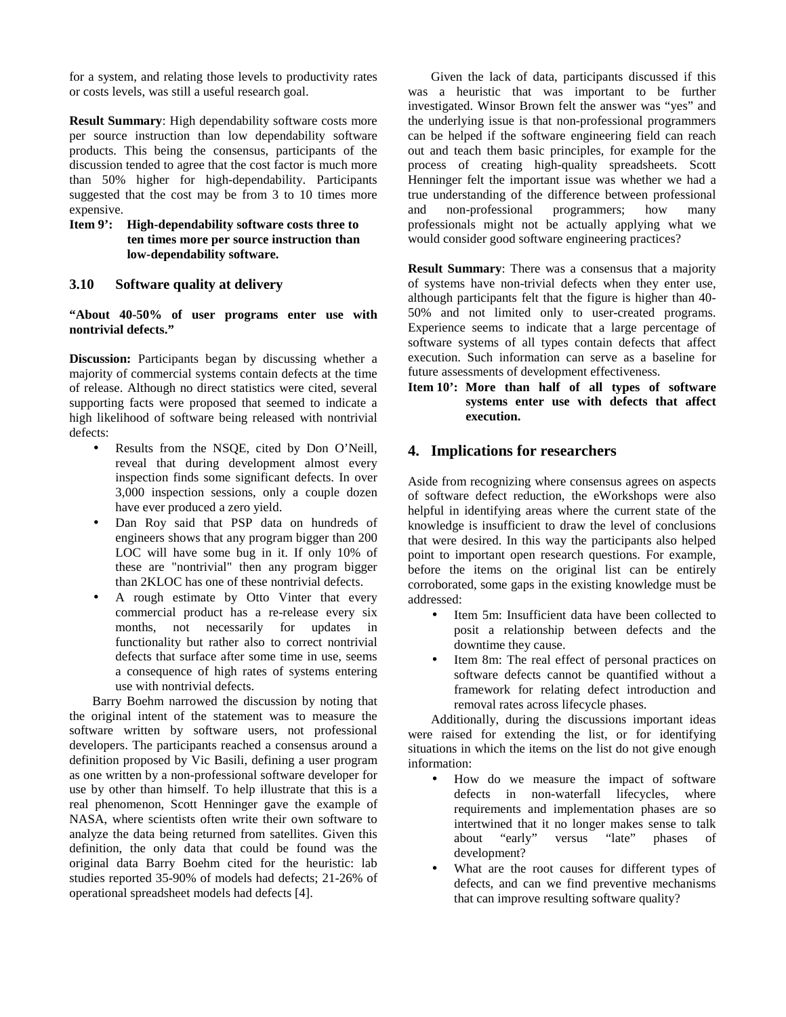for a system, and relating those levels to productivity rates or costs levels, was still a useful research goal.

**Result Summary**: High dependability software costs more per source instruction than low dependability software products. This being the consensus, participants of the discussion tended to agree that the cost factor is much more than 50% higher for high-dependability. Participants suggested that the cost may be from 3 to 10 times more expensive.

## **Item 9': High-dependability software costs three to ten times more per source instruction than low-dependability software.**

## **3.10 Software quality at delivery**

**"About 40-50% of user programs enter use with nontrivial defects."** 

**Discussion:** Participants began by discussing whether a majority of commercial systems contain defects at the time of release. Although no direct statistics were cited, several supporting facts were proposed that seemed to indicate a high likelihood of software being released with nontrivial defects:

- Results from the NSQE, cited by Don O'Neill, reveal that during development almost every inspection finds some significant defects. In over 3,000 inspection sessions, only a couple dozen have ever produced a zero yield.
- Dan Roy said that PSP data on hundreds of engineers shows that any program bigger than 200 LOC will have some bug in it. If only 10% of these are "nontrivial" then any program bigger than 2KLOC has one of these nontrivial defects.
- A rough estimate by Otto Vinter that every commercial product has a re-release every six months, not necessarily for updates in functionality but rather also to correct nontrivial defects that surface after some time in use, seems a consequence of high rates of systems entering use with nontrivial defects.

 Barry Boehm narrowed the discussion by noting that the original intent of the statement was to measure the software written by software users, not professional developers. The participants reached a consensus around a definition proposed by Vic Basili, defining a user program as one written by a non-professional software developer for use by other than himself. To help illustrate that this is a real phenomenon, Scott Henninger gave the example of NASA, where scientists often write their own software to analyze the data being returned from satellites. Given this definition, the only data that could be found was the original data Barry Boehm cited for the heuristic: lab studies reported 35-90% of models had defects; 21-26% of operational spreadsheet models had defects [4].

 Given the lack of data, participants discussed if this was a heuristic that was important to be further investigated. Winsor Brown felt the answer was "yes" and the underlying issue is that non-professional programmers can be helped if the software engineering field can reach out and teach them basic principles, for example for the process of creating high-quality spreadsheets. Scott Henninger felt the important issue was whether we had a true understanding of the difference between professional and non-professional programmers; how many professionals might not be actually applying what we would consider good software engineering practices?

**Result Summary**: There was a consensus that a majority of systems have non-trivial defects when they enter use, although participants felt that the figure is higher than 40- 50% and not limited only to user-created programs. Experience seems to indicate that a large percentage of software systems of all types contain defects that affect execution. Such information can serve as a baseline for future assessments of development effectiveness.

## **Item 10': More than half of all types of software systems enter use with defects that affect execution.**

## **4. Implications for researchers**

Aside from recognizing where consensus agrees on aspects of software defect reduction, the eWorkshops were also helpful in identifying areas where the current state of the knowledge is insufficient to draw the level of conclusions that were desired. In this way the participants also helped point to important open research questions. For example, before the items on the original list can be entirely corroborated, some gaps in the existing knowledge must be addressed:

- Item 5m: Insufficient data have been collected to posit a relationship between defects and the downtime they cause.
- Item 8m: The real effect of personal practices on software defects cannot be quantified without a framework for relating defect introduction and removal rates across lifecycle phases.

 Additionally, during the discussions important ideas were raised for extending the list, or for identifying situations in which the items on the list do not give enough information:

- How do we measure the impact of software defects in non-waterfall lifecycles, where requirements and implementation phases are so intertwined that it no longer makes sense to talk about "early" versus "late" phases of development?
- What are the root causes for different types of defects, and can we find preventive mechanisms that can improve resulting software quality?